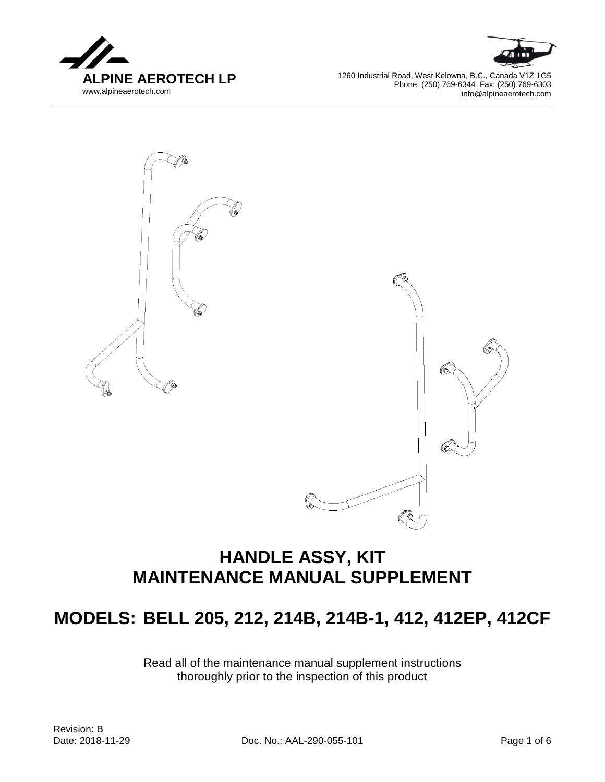



1260 Industrial Road, West Kelowna, B.C., Canada V1Z 1G5 Phone: (250) 769-6344 Fax: (250) 769-6303 info@alpineaerotech.com



# **HANDLE ASSY, KIT MAINTENANCE MANUAL SUPPLEMENT**

# **MODELS: BELL 205, 212, 214B, 214B-1, 412, 412EP, 412CF**

Read all of the maintenance manual supplement instructions thoroughly prior to the inspection of this product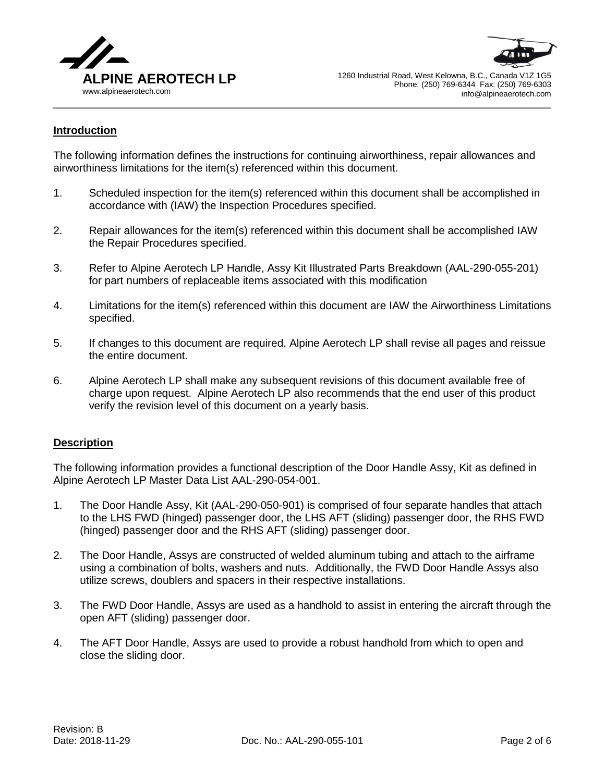



## **Introduction**

The following information defines the instructions for continuing airworthiness, repair allowances and airworthiness limitations for the item(s) referenced within this document.

- 1. Scheduled inspection for the item(s) referenced within this document shall be accomplished in accordance with (IAW) the Inspection Procedures specified.
- 2. Repair allowances for the item(s) referenced within this document shall be accomplished IAW the Repair Procedures specified.
- 3. Refer to Alpine Aerotech LP Handle, Assy Kit Illustrated Parts Breakdown (AAL-290-055-201) for part numbers of replaceable items associated with this modification
- 4. Limitations for the item(s) referenced within this document are IAW the Airworthiness Limitations specified.
- 5. If changes to this document are required, Alpine Aerotech LP shall revise all pages and reissue the entire document.
- 6. Alpine Aerotech LP shall make any subsequent revisions of this document available free of charge upon request. Alpine Aerotech LP also recommends that the end user of this product verify the revision level of this document on a yearly basis.

#### **Description**

The following information provides a functional description of the Door Handle Assy, Kit as defined in Alpine Aerotech LP Master Data List AAL-290-054-001.

- 1. The Door Handle Assy, Kit (AAL-290-050-901) is comprised of four separate handles that attach to the LHS FWD (hinged) passenger door, the LHS AFT (sliding) passenger door, the RHS FWD (hinged) passenger door and the RHS AFT (sliding) passenger door.
- 2. The Door Handle, Assys are constructed of welded aluminum tubing and attach to the airframe using a combination of bolts, washers and nuts. Additionally, the FWD Door Handle Assys also utilize screws, doublers and spacers in their respective installations.
- 3. The FWD Door Handle, Assys are used as a handhold to assist in entering the aircraft through the open AFT (sliding) passenger door.
- 4. The AFT Door Handle, Assys are used to provide a robust handhold from which to open and close the sliding door.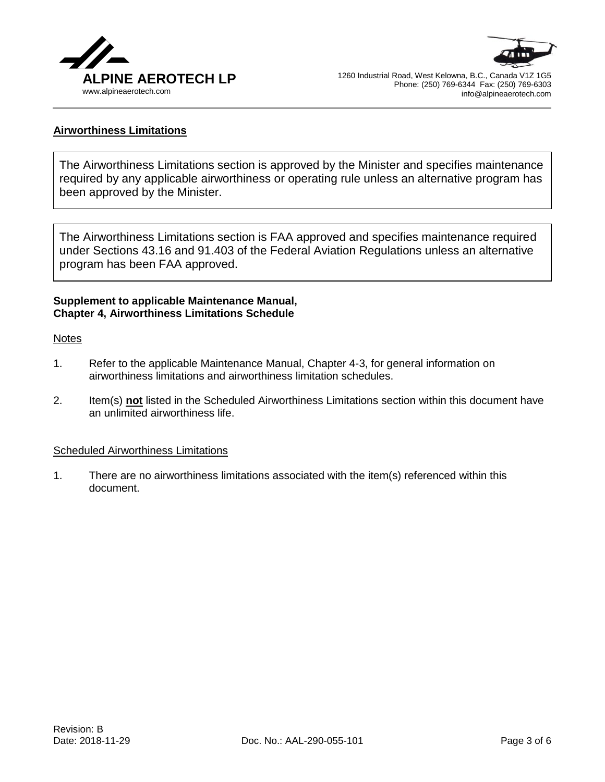



## **Airworthiness Limitations**

The Airworthiness Limitations section is approved by the Minister and specifies maintenance required by any applicable airworthiness or operating rule unless an alternative program has been approved by the Minister.

The Airworthiness Limitations section is FAA approved and specifies maintenance required under Sections 43.16 and 91.403 of the Federal Aviation Regulations unless an alternative program has been FAA approved.

#### **Supplement to applicable Maintenance Manual, Chapter 4, Airworthiness Limitations Schedule**

#### **Notes**

- 1. Refer to the applicable Maintenance Manual, Chapter 4-3, for general information on airworthiness limitations and airworthiness limitation schedules.
- 2. Item(s) **not** listed in the Scheduled Airworthiness Limitations section within this document have an unlimited airworthiness life.

#### Scheduled Airworthiness Limitations

1. There are no airworthiness limitations associated with the item(s) referenced within this document.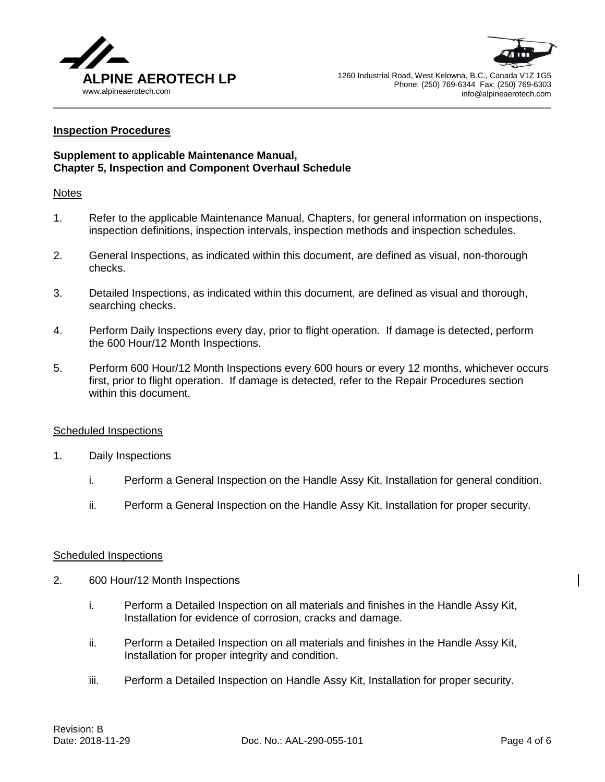



#### **Inspection Procedures**

## **Supplement to applicable Maintenance Manual, Chapter 5, Inspection and Component Overhaul Schedule**

#### Notes

- 1. Refer to the applicable Maintenance Manual, Chapters, for general information on inspections, inspection definitions, inspection intervals, inspection methods and inspection schedules.
- 2. General Inspections, as indicated within this document, are defined as visual, non-thorough checks.
- 3. Detailed Inspections, as indicated within this document, are defined as visual and thorough, searching checks.
- 4. Perform Daily Inspections every day, prior to flight operation. If damage is detected, perform the 600 Hour/12 Month Inspections.
- 5. Perform 600 Hour/12 Month Inspections every 600 hours or every 12 months, whichever occurs first, prior to flight operation. If damage is detected, refer to the Repair Procedures section within this document.

#### Scheduled Inspections

- 1. Daily Inspections
	- i. Perform a General Inspection on the Handle Assy Kit, Installation for general condition.
	- ii. Perform a General Inspection on the Handle Assy Kit, Installation for proper security.

#### Scheduled Inspections

- 2. 600 Hour/12 Month Inspections
	- i. Perform a Detailed Inspection on all materials and finishes in the Handle Assy Kit, Installation for evidence of corrosion, cracks and damage.
	- ii. Perform a Detailed Inspection on all materials and finishes in the Handle Assy Kit, Installation for proper integrity and condition.
	- iii. Perform a Detailed Inspection on Handle Assy Kit, Installation for proper security.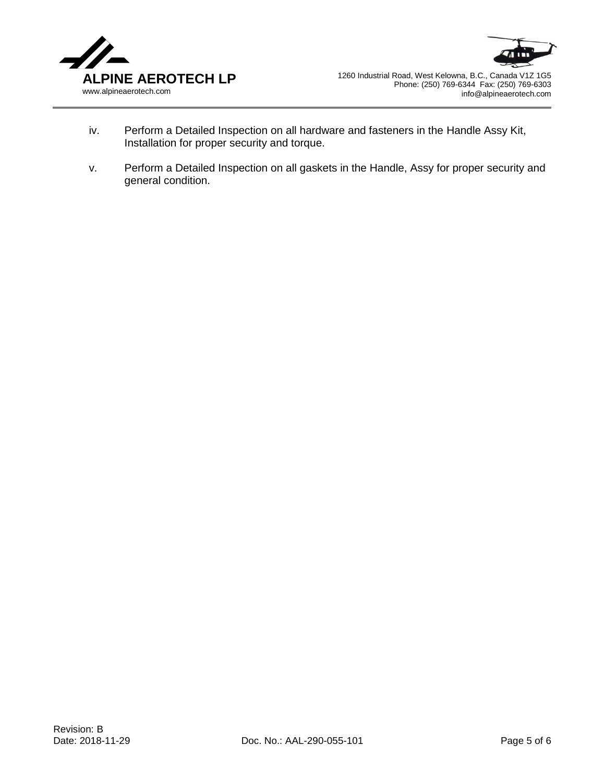



- iv. Perform a Detailed Inspection on all hardware and fasteners in the Handle Assy Kit, Installation for proper security and torque.
- v. Perform a Detailed Inspection on all gaskets in the Handle, Assy for proper security and general condition.